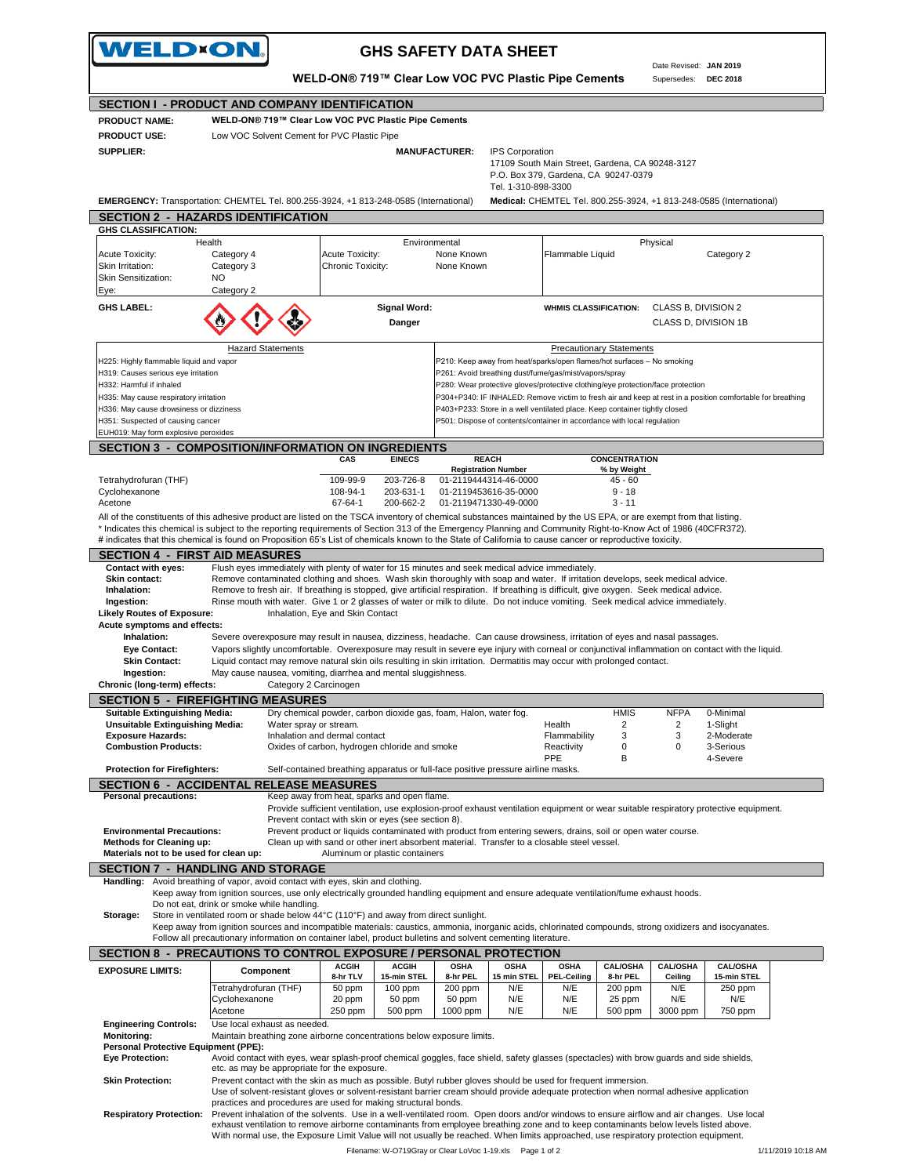|                                                                                                                                                                     | WELD×ON.                                                                                | WELD-ON® 719™ Clear Low VOC PVC Plastic Pipe Cements                                                                                                                | <b>GHS SAFETY DATA SHEET</b>                                                                               |                                 |                      | Date Revised: JAN 2019<br>Supersedes: DEC 2018 |                                                                     |  |
|---------------------------------------------------------------------------------------------------------------------------------------------------------------------|-----------------------------------------------------------------------------------------|---------------------------------------------------------------------------------------------------------------------------------------------------------------------|------------------------------------------------------------------------------------------------------------|---------------------------------|----------------------|------------------------------------------------|---------------------------------------------------------------------|--|
| SECTION I - PRODUCT AND COMPANY IDENTIFICATION                                                                                                                      |                                                                                         |                                                                                                                                                                     |                                                                                                            |                                 |                      |                                                |                                                                     |  |
| <b>PRODUCT NAME:</b>                                                                                                                                                |                                                                                         | WELD-ON® 719™ Clear Low VOC PVC Plastic Pipe Cements                                                                                                                |                                                                                                            |                                 |                      |                                                |                                                                     |  |
| <b>PRODUCT USE:</b>                                                                                                                                                 | Low VOC Solvent Cement for PVC Plastic Pipe                                             |                                                                                                                                                                     |                                                                                                            |                                 |                      |                                                |                                                                     |  |
| <b>SUPPLIER:</b>                                                                                                                                                    |                                                                                         |                                                                                                                                                                     | <b>MANUFACTURER:</b><br><b>IPS Corporation</b>                                                             |                                 |                      |                                                |                                                                     |  |
|                                                                                                                                                                     |                                                                                         |                                                                                                                                                                     |                                                                                                            |                                 |                      |                                                |                                                                     |  |
|                                                                                                                                                                     | 17109 South Main Street, Gardena, CA 90248-3127<br>P.O. Box 379, Gardena, CA 90247-0379 |                                                                                                                                                                     |                                                                                                            |                                 |                      |                                                |                                                                     |  |
|                                                                                                                                                                     |                                                                                         |                                                                                                                                                                     | Tel. 1-310-898-3300                                                                                        |                                 |                      |                                                |                                                                     |  |
|                                                                                                                                                                     |                                                                                         | EMERGENCY: Transportation: CHEMTEL Tel. 800.255-3924, +1 813-248-0585 (International)                                                                               |                                                                                                            |                                 |                      |                                                | Medical: CHEMTEL Tel. 800.255-3924, +1 813-248-0585 (International) |  |
|                                                                                                                                                                     |                                                                                         |                                                                                                                                                                     |                                                                                                            |                                 |                      |                                                |                                                                     |  |
| <b>SECTION 2 - HAZARDS IDENTIFICATION</b>                                                                                                                           |                                                                                         |                                                                                                                                                                     |                                                                                                            |                                 |                      |                                                |                                                                     |  |
| <b>GHS CLASSIFICATION:</b>                                                                                                                                          |                                                                                         |                                                                                                                                                                     |                                                                                                            |                                 |                      |                                                |                                                                     |  |
|                                                                                                                                                                     | Health                                                                                  | Environmental                                                                                                                                                       |                                                                                                            |                                 |                      | Physical                                       |                                                                     |  |
| <b>Acute Toxicity:</b>                                                                                                                                              | Category 4                                                                              | <b>Acute Toxicity:</b>                                                                                                                                              | None Known                                                                                                 | Flammable Liquid                |                      |                                                | Category 2                                                          |  |
| Skin Irritation:                                                                                                                                                    | Category 3                                                                              | Chronic Toxicity:                                                                                                                                                   | None Known                                                                                                 |                                 |                      |                                                |                                                                     |  |
| Skin Sensitization:                                                                                                                                                 | NO                                                                                      |                                                                                                                                                                     |                                                                                                            |                                 |                      |                                                |                                                                     |  |
| Eye:                                                                                                                                                                | Category 2                                                                              |                                                                                                                                                                     |                                                                                                            |                                 |                      |                                                |                                                                     |  |
| <b>GHS LABEL:</b>                                                                                                                                                   |                                                                                         | <b>Signal Word:</b>                                                                                                                                                 |                                                                                                            | <b>WHMIS CLASSIFICATION:</b>    |                      | CLASS B, DIVISION 2                            |                                                                     |  |
|                                                                                                                                                                     |                                                                                         | Danger                                                                                                                                                              |                                                                                                            |                                 |                      | CLASS D, DIVISION 1B                           |                                                                     |  |
|                                                                                                                                                                     |                                                                                         |                                                                                                                                                                     |                                                                                                            |                                 |                      |                                                |                                                                     |  |
|                                                                                                                                                                     | <b>Hazard Statements</b>                                                                |                                                                                                                                                                     |                                                                                                            | <b>Precautionary Statements</b> |                      |                                                |                                                                     |  |
| H225: Highly flammable liquid and vapor                                                                                                                             |                                                                                         |                                                                                                                                                                     | P210: Keep away from heat/sparks/open flames/hot surfaces - No smoking                                     |                                 |                      |                                                |                                                                     |  |
| H319: Causes serious eye irritation                                                                                                                                 |                                                                                         |                                                                                                                                                                     | P261: Avoid breathing dust/fume/gas/mist/vapors/spray                                                      |                                 |                      |                                                |                                                                     |  |
| H332: Harmful if inhaled                                                                                                                                            |                                                                                         |                                                                                                                                                                     |                                                                                                            |                                 |                      |                                                |                                                                     |  |
|                                                                                                                                                                     |                                                                                         |                                                                                                                                                                     | P280: Wear protective gloves/protective clothing/eye protection/face protection                            |                                 |                      |                                                |                                                                     |  |
| H335: May cause respiratory irritation                                                                                                                              |                                                                                         |                                                                                                                                                                     | P304+P340: IF INHALED: Remove victim to fresh air and keep at rest in a position comfortable for breathing |                                 |                      |                                                |                                                                     |  |
| H336: May cause drowsiness or dizziness                                                                                                                             |                                                                                         |                                                                                                                                                                     | P403+P233: Store in a well ventilated place. Keep container tightly closed                                 |                                 |                      |                                                |                                                                     |  |
| H351: Suspected of causing cancer                                                                                                                                   |                                                                                         |                                                                                                                                                                     | P501: Dispose of contents/container in accordance with local regulation                                    |                                 |                      |                                                |                                                                     |  |
| EUH019: May form explosive peroxides                                                                                                                                |                                                                                         |                                                                                                                                                                     |                                                                                                            |                                 |                      |                                                |                                                                     |  |
|                                                                                                                                                                     |                                                                                         | <b>SECTION 3 - COMPOSITION/INFORMATION ON INGREDIENTS</b>                                                                                                           |                                                                                                            |                                 |                      |                                                |                                                                     |  |
|                                                                                                                                                                     |                                                                                         | <b>EINECS</b><br>CAS                                                                                                                                                | <b>REACH</b>                                                                                               |                                 | <b>CONCENTRATION</b> |                                                |                                                                     |  |
|                                                                                                                                                                     |                                                                                         |                                                                                                                                                                     | <b>Registration Number</b>                                                                                 |                                 | % by Weight          |                                                |                                                                     |  |
| Tetrahydrofuran (THF)                                                                                                                                               |                                                                                         | 109-99-9<br>203-726-8                                                                                                                                               | 01-2119444314-46-0000                                                                                      |                                 | 45 - 60              |                                                |                                                                     |  |
| Cyclohexanone                                                                                                                                                       |                                                                                         | 108-94-1<br>203-631-1                                                                                                                                               | 01-2119453616-35-0000                                                                                      |                                 | $9 - 18$             |                                                |                                                                     |  |
| Acetone                                                                                                                                                             |                                                                                         | 67-64-1<br>200-662-2                                                                                                                                                | 01-2119471330-49-0000                                                                                      |                                 | $3 - 11$             |                                                |                                                                     |  |
|                                                                                                                                                                     |                                                                                         | All of the constituents of this adhesive product are listed on the TSCA inventory of chemical substances maintained by the US EPA, or are exempt from that listing. |                                                                                                            |                                 |                      |                                                |                                                                     |  |
|                                                                                                                                                                     |                                                                                         | * Indicates this chemical is subject to the reporting requirements of Section 313 of the Emergency Planning and Community Right-to-Know Act of 1986 (40CFR372).     |                                                                                                            |                                 |                      |                                                |                                                                     |  |
|                                                                                                                                                                     |                                                                                         | # indicates that this chemical is found on Proposition 65's List of chemicals known to the State of California to cause cancer or reproductive toxicity.            |                                                                                                            |                                 |                      |                                                |                                                                     |  |
| <b>SECTION 4 - FIRST AID MEASURES</b>                                                                                                                               |                                                                                         |                                                                                                                                                                     |                                                                                                            |                                 |                      |                                                |                                                                     |  |
| <b>Contact with eyes:</b>                                                                                                                                           |                                                                                         |                                                                                                                                                                     |                                                                                                            |                                 |                      |                                                |                                                                     |  |
|                                                                                                                                                                     |                                                                                         |                                                                                                                                                                     |                                                                                                            |                                 |                      |                                                |                                                                     |  |
|                                                                                                                                                                     |                                                                                         | Flush eyes immediately with plenty of water for 15 minutes and seek medical advice immediately.                                                                     |                                                                                                            |                                 |                      |                                                |                                                                     |  |
| Skin contact:                                                                                                                                                       |                                                                                         | Remove contaminated clothing and shoes. Wash skin thoroughly with soap and water. If irritation develops, seek medical advice.                                      |                                                                                                            |                                 |                      |                                                |                                                                     |  |
| Inhalation:                                                                                                                                                         |                                                                                         | Remove to fresh air. If breathing is stopped, give artificial respiration. If breathing is difficult, give oxygen. Seek medical advice.                             |                                                                                                            |                                 |                      |                                                |                                                                     |  |
| Ingestion:                                                                                                                                                          |                                                                                         | Rinse mouth with water. Give 1 or 2 glasses of water or milk to dilute. Do not induce vomiting. Seek medical advice immediately.                                    |                                                                                                            |                                 |                      |                                                |                                                                     |  |
| <b>Likely Routes of Exposure:</b>                                                                                                                                   |                                                                                         | Inhalation, Eye and Skin Contact                                                                                                                                    |                                                                                                            |                                 |                      |                                                |                                                                     |  |
| Acute symptoms and effects:                                                                                                                                         |                                                                                         |                                                                                                                                                                     |                                                                                                            |                                 |                      |                                                |                                                                     |  |
| Inhalation:                                                                                                                                                         |                                                                                         | Severe overexposure may result in nausea, dizziness, headache. Can cause drowsiness, irritation of eyes and nasal passages.                                         |                                                                                                            |                                 |                      |                                                |                                                                     |  |
| <b>Eye Contact:</b>                                                                                                                                                 |                                                                                         | Vapors slightly uncomfortable. Overexposure may result in severe eye injury with corneal or conjunctival inflammation on contact with the liquid.                   |                                                                                                            |                                 |                      |                                                |                                                                     |  |
| <b>Skin Contact:</b>                                                                                                                                                |                                                                                         | Liquid contact may remove natural skin oils resulting in skin irritation. Dermatitis may occur with prolonged contact.                                              |                                                                                                            |                                 |                      |                                                |                                                                     |  |
| Ingestion:                                                                                                                                                          |                                                                                         | May cause nausea, vomiting, diarrhea and mental sluggishness.                                                                                                       |                                                                                                            |                                 |                      |                                                |                                                                     |  |
|                                                                                                                                                                     | Category 2 Carcinogen                                                                   |                                                                                                                                                                     |                                                                                                            |                                 |                      |                                                |                                                                     |  |
|                                                                                                                                                                     |                                                                                         |                                                                                                                                                                     |                                                                                                            |                                 |                      |                                                |                                                                     |  |
| Chronic (long-term) effects:<br><b>SECTION 5 - FIREFIGHTING MEASURES</b><br>Suitable Extinguishing Media:                                                           |                                                                                         | Dry chemical powder, carbon dioxide gas, foam, Halon, water fog.                                                                                                    |                                                                                                            |                                 | <b>HMIS</b>          | <b>NFPA</b>                                    | 0-Minimal                                                           |  |
| Unsuitable Extinguishing Media:                                                                                                                                     | Water spray or stream.                                                                  |                                                                                                                                                                     |                                                                                                            | Health                          | 2                    | 2                                              | 1-Slight                                                            |  |
| <b>Exposure Hazards:</b>                                                                                                                                            |                                                                                         | Inhalation and dermal contact                                                                                                                                       |                                                                                                            | Flammability                    | 3                    | 3                                              | 2-Moderate                                                          |  |
| <b>Combustion Products:</b>                                                                                                                                         |                                                                                         | Oxides of carbon, hydrogen chloride and smoke                                                                                                                       |                                                                                                            | Reactivity                      | 0                    | 0                                              | 3-Serious                                                           |  |
|                                                                                                                                                                     |                                                                                         |                                                                                                                                                                     |                                                                                                            | PPE                             | B                    |                                                | 4-Severe                                                            |  |
| <b>Protection for Firefighters:</b>                                                                                                                                 |                                                                                         | Self-contained breathing apparatus or full-face positive pressure airline masks.                                                                                    |                                                                                                            |                                 |                      |                                                |                                                                     |  |
|                                                                                                                                                                     |                                                                                         |                                                                                                                                                                     |                                                                                                            |                                 |                      |                                                |                                                                     |  |
| <b>Personal precautions:</b>                                                                                                                                        |                                                                                         | Keep away from heat, sparks and open flame.                                                                                                                         |                                                                                                            |                                 |                      |                                                |                                                                     |  |
|                                                                                                                                                                     |                                                                                         | Provide sufficient ventilation, use explosion-proof exhaust ventilation equipment or wear suitable respiratory protective equipment.                                |                                                                                                            |                                 |                      |                                                |                                                                     |  |
|                                                                                                                                                                     |                                                                                         | Prevent contact with skin or eyes (see section 8).                                                                                                                  |                                                                                                            |                                 |                      |                                                |                                                                     |  |
| <b>Environmental Precautions:</b>                                                                                                                                   |                                                                                         | Prevent product or liquids contaminated with product from entering sewers, drains, soil or open water course.                                                       |                                                                                                            |                                 |                      |                                                |                                                                     |  |
| Methods for Cleaning up:                                                                                                                                            |                                                                                         | Clean up with sand or other inert absorbent material. Transfer to a closable steel vessel.                                                                          |                                                                                                            |                                 |                      |                                                |                                                                     |  |
| Materials not to be used for clean up:                                                                                                                              |                                                                                         | Aluminum or plastic containers                                                                                                                                      |                                                                                                            |                                 |                      |                                                |                                                                     |  |
|                                                                                                                                                                     |                                                                                         |                                                                                                                                                                     |                                                                                                            |                                 |                      |                                                |                                                                     |  |
|                                                                                                                                                                     |                                                                                         |                                                                                                                                                                     |                                                                                                            |                                 |                      |                                                |                                                                     |  |
|                                                                                                                                                                     | Handling: Avoid breathing of vapor, avoid contact with eyes, skin and clothing.         |                                                                                                                                                                     |                                                                                                            |                                 |                      |                                                |                                                                     |  |
|                                                                                                                                                                     |                                                                                         | Keep away from ignition sources, use only electrically grounded handling equipment and ensure adequate ventilation/fume exhaust hoods.                              |                                                                                                            |                                 |                      |                                                |                                                                     |  |
|                                                                                                                                                                     | Do not eat, drink or smoke while handling.                                              |                                                                                                                                                                     |                                                                                                            |                                 |                      |                                                |                                                                     |  |
| Storage:                                                                                                                                                            |                                                                                         | Store in ventilated room or shade below 44°C (110°F) and away from direct sunlight.                                                                                 |                                                                                                            |                                 |                      |                                                |                                                                     |  |
|                                                                                                                                                                     |                                                                                         | Keep away from ignition sources and incompatible materials: caustics, ammonia, inorganic acids, chlorinated compounds, strong oxidizers and isocyanates.            |                                                                                                            |                                 |                      |                                                |                                                                     |  |
|                                                                                                                                                                     |                                                                                         | Follow all precautionary information on container label, product bulletins and solvent cementing literature.                                                        |                                                                                                            |                                 |                      |                                                |                                                                     |  |
|                                                                                                                                                                     |                                                                                         | <b>SECTION 8 - PRECAUTIONS TO CONTROL EXPOSURE / PERSONAL PROTECTION</b>                                                                                            |                                                                                                            |                                 |                      |                                                |                                                                     |  |
|                                                                                                                                                                     |                                                                                         | <b>ACGIH</b><br><b>ACGIH</b>                                                                                                                                        | <b>OSHA</b><br><b>OSHA</b>                                                                                 | <b>OSHA</b>                     | <b>CAL/OSHA</b>      | <b>CAL/OSHA</b>                                | <b>CAL/OSHA</b>                                                     |  |
|                                                                                                                                                                     | Component                                                                               | 8-hr TLV<br>15-min STEL                                                                                                                                             | 8-hr PEL<br>15 min STEL                                                                                    | <b>PEL-Ceiling</b>              | 8-hr PEL             | Ceiling                                        | 15-min STEL                                                         |  |
|                                                                                                                                                                     | Tetrahydrofuran (THF)                                                                   | 50 ppm<br>100 ppm                                                                                                                                                   | 200 ppm<br>N/E                                                                                             | N/E                             | 200 ppm              | N/E                                            | 250 ppm                                                             |  |
|                                                                                                                                                                     | Cyclohexanone                                                                           | 20 ppm<br>50 ppm                                                                                                                                                    | 50 ppm<br>N/E                                                                                              | N/E                             | 25 ppm               | N/E                                            | N/E                                                                 |  |
|                                                                                                                                                                     | Acetone                                                                                 | 250 ppm<br>500 ppm                                                                                                                                                  | 1000 ppm<br>N/E                                                                                            | N/E                             | 500 ppm              | 3000 ppm                                       | 750 ppm                                                             |  |
| <b>Engineering Controls:</b>                                                                                                                                        | Use local exhaust as needed.                                                            |                                                                                                                                                                     |                                                                                                            |                                 |                      |                                                |                                                                     |  |
| <b>Monitoring:</b>                                                                                                                                                  |                                                                                         | Maintain breathing zone airborne concentrations below exposure limits.                                                                                              |                                                                                                            |                                 |                      |                                                |                                                                     |  |
| <b>SECTION 6 - ACCIDENTAL RELEASE MEASURES</b><br><b>SECTION 7 - HANDLING AND STORAGE</b><br><b>EXPOSURE LIMITS:</b><br><b>Personal Protective Equipment (PPE):</b> |                                                                                         |                                                                                                                                                                     |                                                                                                            |                                 |                      |                                                |                                                                     |  |
| <b>Eye Protection:</b>                                                                                                                                              |                                                                                         | Avoid contact with eyes, wear splash-proof chemical goggles, face shield, safety glasses (spectacles) with brow guards and side shields,                            |                                                                                                            |                                 |                      |                                                |                                                                     |  |
|                                                                                                                                                                     | etc. as may be appropriate for the exposure.                                            |                                                                                                                                                                     |                                                                                                            |                                 |                      |                                                |                                                                     |  |
| <b>Skin Protection:</b>                                                                                                                                             |                                                                                         | Prevent contact with the skin as much as possible. Butyl rubber gloves should be used for frequent immersion.                                                       |                                                                                                            |                                 |                      |                                                |                                                                     |  |
|                                                                                                                                                                     |                                                                                         | Use of solvent-resistant gloves or solvent-resistant barrier cream should provide adequate protection when normal adhesive application                              |                                                                                                            |                                 |                      |                                                |                                                                     |  |
|                                                                                                                                                                     |                                                                                         | practices and procedures are used for making structural bonds.                                                                                                      |                                                                                                            |                                 |                      |                                                |                                                                     |  |
| <b>Respiratory Protection:</b>                                                                                                                                      |                                                                                         | Prevent inhalation of the solvents. Use in a well-ventilated room. Open doors and/or windows to ensure airflow and air changes. Use local                           |                                                                                                            |                                 |                      |                                                |                                                                     |  |